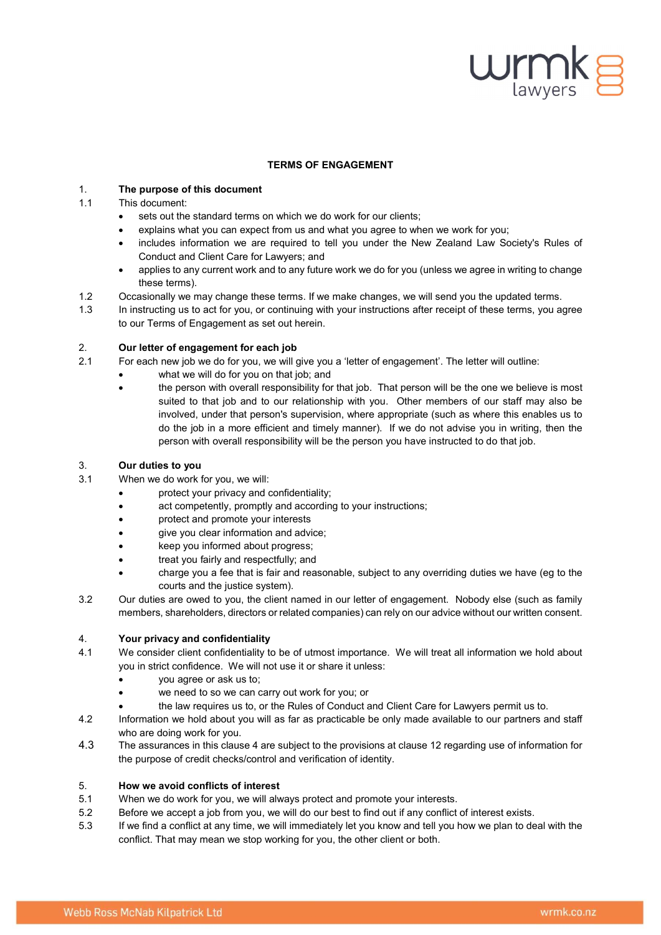# $\mathsf{w}_{\text{\tiny{lawvers}}}$

# TERMS OF ENGAGEMENT

# 1. The purpose of this document

# 1.1 This document:

- sets out the standard terms on which we do work for our clients;
- explains what you can expect from us and what you agree to when we work for you;
- includes information we are required to tell you under the New Zealand Law Society's Rules of Conduct and Client Care for Lawyers; and
- applies to any current work and to any future work we do for you (unless we agree in writing to change these terms).
- 1.2 Occasionally we may change these terms. If we make changes, we will send you the updated terms.
- 1.3 In instructing us to act for you, or continuing with your instructions after receipt of these terms, you agree to our Terms of Engagement as set out herein.

# 2. Our letter of engagement for each job

- 2.1 For each new job we do for you, we will give you a 'letter of engagement'. The letter will outline:
	- what we will do for you on that job; and
		- the person with overall responsibility for that job. That person will be the one we believe is most suited to that job and to our relationship with you. Other members of our staff may also be involved, under that person's supervision, where appropriate (such as where this enables us to do the job in a more efficient and timely manner). If we do not advise you in writing, then the person with overall responsibility will be the person you have instructed to do that job.

# 3. Our duties to you

- 3.1 When we do work for you, we will:
	- protect your privacy and confidentiality;
		- act competently, promptly and according to your instructions;
		- protect and promote your interests
		- give you clear information and advice;
	- keep you informed about progress;
	- treat you fairly and respectfully; and
	- charge you a fee that is fair and reasonable, subject to any overriding duties we have (eg to the courts and the justice system).
- 3.2 Our duties are owed to you, the client named in our letter of engagement. Nobody else (such as family members, shareholders, directors or related companies) can rely on our advice without our written consent.

# 4. Your privacy and confidentiality

- 4.1 We consider client confidentiality to be of utmost importance. We will treat all information we hold about you in strict confidence. We will not use it or share it unless:
	- you agree or ask us to;
	- we need to so we can carry out work for you; or
	- the law requires us to, or the Rules of Conduct and Client Care for Lawyers permit us to.
- 4.2 Information we hold about you will as far as practicable be only made available to our partners and staff who are doing work for you.
- 4.3 The assurances in this clause 4 are subject to the provisions at clause 12 regarding use of information for the purpose of credit checks/control and verification of identity.

# 5. How we avoid conflicts of interest

- 5.1 When we do work for you, we will always protect and promote your interests.
- 5.2 Before we accept a job from you, we will do our best to find out if any conflict of interest exists.
- 5.3 If we find a conflict at any time, we will immediately let you know and tell you how we plan to deal with the conflict. That may mean we stop working for you, the other client or both.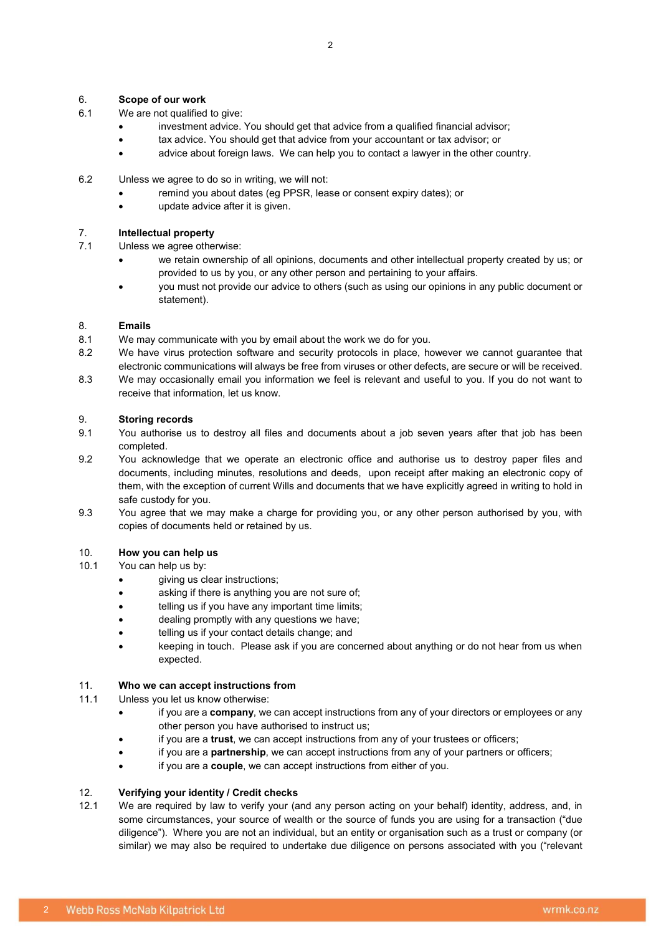## 6. Scope of our work

- 6.1 We are not qualified to give:
	- investment advice. You should get that advice from a qualified financial advisor;
	- tax advice. You should get that advice from your accountant or tax advisor; or
	- advice about foreign laws. We can help you to contact a lawyer in the other country.
- 6.2 Unless we agree to do so in writing, we will not:
	- remind you about dates (eg PPSR, lease or consent expiry dates); or
	- update advice after it is given.

#### 7. Intellectual property

- 7.1 Unless we agree otherwise:
	- we retain ownership of all opinions, documents and other intellectual property created by us; or provided to us by you, or any other person and pertaining to your affairs.
	- you must not provide our advice to others (such as using our opinions in any public document or statement).

#### 8. Emails

- 8.1 We may communicate with you by email about the work we do for you.
- 8.2 We have virus protection software and security protocols in place, however we cannot guarantee that electronic communications will always be free from viruses or other defects, are secure or will be received.
- 8.3 We may occasionally email you information we feel is relevant and useful to you. If you do not want to receive that information, let us know.

### 9. Storing records

- 9.1 You authorise us to destroy all files and documents about a job seven years after that job has been completed.
- 9.2 You acknowledge that we operate an electronic office and authorise us to destroy paper files and documents, including minutes, resolutions and deeds, upon receipt after making an electronic copy of them, with the exception of current Wills and documents that we have explicitly agreed in writing to hold in safe custody for you.
- 9.3 You agree that we may make a charge for providing you, or any other person authorised by you, with copies of documents held or retained by us.

## 10. How you can help us

- 10.1 You can help us by:
	- giving us clear instructions;
	- asking if there is anything you are not sure of;
	- **•** telling us if you have any important time limits;
	- dealing promptly with any questions we have;
	- telling us if your contact details change; and
	- keeping in touch. Please ask if you are concerned about anything or do not hear from us when expected.

## 11. Who we can accept instructions from

#### 11.1 Unless you let us know otherwise:

- if you are a company, we can accept instructions from any of your directors or employees or any other person you have authorised to instruct us;
- if you are a trust, we can accept instructions from any of your trustees or officers;
- if you are a **partnership**, we can accept instructions from any of your partners or officers;
- if you are a couple, we can accept instructions from either of you.

#### 12. Verifying your identity / Credit checks

12.1 We are required by law to verify your (and any person acting on your behalf) identity, address, and, in some circumstances, your source of wealth or the source of funds you are using for a transaction ("due diligence"). Where you are not an individual, but an entity or organisation such as a trust or company (or similar) we may also be required to undertake due diligence on persons associated with you ("relevant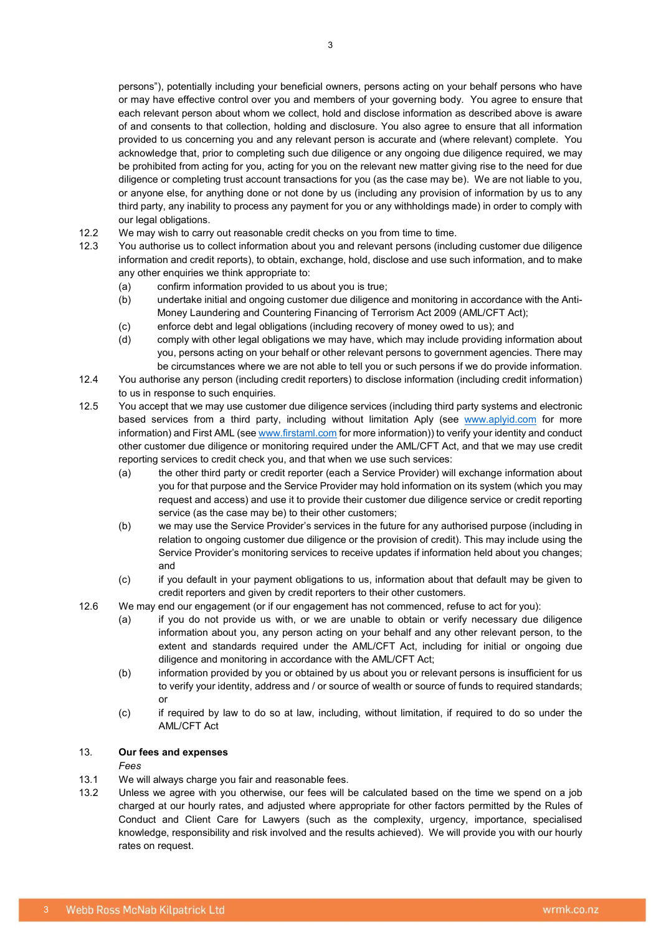persons"), potentially including your beneficial owners, persons acting on your behalf persons who have or may have effective control over you and members of your governing body. You agree to ensure that each relevant person about whom we collect, hold and disclose information as described above is aware of and consents to that collection, holding and disclosure. You also agree to ensure that all information provided to us concerning you and any relevant person is accurate and (where relevant) complete. You acknowledge that, prior to completing such due diligence or any ongoing due diligence required, we may be prohibited from acting for you, acting for you on the relevant new matter giving rise to the need for due diligence or completing trust account transactions for you (as the case may be). We are not liable to you, or anyone else, for anything done or not done by us (including any provision of information by us to any third party, any inability to process any payment for you or any withholdings made) in order to comply with our legal obligations.

- 12.2 We may wish to carry out reasonable credit checks on you from time to time.
- 12.3 You authorise us to collect information about you and relevant persons (including customer due diligence information and credit reports), to obtain, exchange, hold, disclose and use such information, and to make any other enquiries we think appropriate to:
	- (a) confirm information provided to us about you is true;
	- (b) undertake initial and ongoing customer due diligence and monitoring in accordance with the Anti-Money Laundering and Countering Financing of Terrorism Act 2009 (AML/CFT Act);
	- (c) enforce debt and legal obligations (including recovery of money owed to us); and
	- (d) comply with other legal obligations we may have, which may include providing information about you, persons acting on your behalf or other relevant persons to government agencies. There may be circumstances where we are not able to tell you or such persons if we do provide information.
- 12.4 You authorise any person (including credit reporters) to disclose information (including credit information) to us in response to such enquiries.
- 12.5 You accept that we may use customer due diligence services (including third party systems and electronic based services from a third party, including without limitation Aply (see www.aplyid.com for more information) and First AML (see www.firstaml.com for more information)) to verify your identity and conduct other customer due diligence or monitoring required under the AML/CFT Act, and that we may use credit reporting services to credit check you, and that when we use such services:
	- (a) the other third party or credit reporter (each a Service Provider) will exchange information about you for that purpose and the Service Provider may hold information on its system (which you may request and access) and use it to provide their customer due diligence service or credit reporting service (as the case may be) to their other customers;
	- (b) we may use the Service Provider's services in the future for any authorised purpose (including in relation to ongoing customer due diligence or the provision of credit). This may include using the Service Provider's monitoring services to receive updates if information held about you changes; and
	- (c) if you default in your payment obligations to us, information about that default may be given to credit reporters and given by credit reporters to their other customers.
- 12.6 We may end our engagement (or if our engagement has not commenced, refuse to act for you):
	- (a) if you do not provide us with, or we are unable to obtain or verify necessary due diligence information about you, any person acting on your behalf and any other relevant person, to the extent and standards required under the AML/CFT Act, including for initial or ongoing due diligence and monitoring in accordance with the AML/CFT Act;
	- (b) information provided by you or obtained by us about you or relevant persons is insufficient for us to verify your identity, address and / or source of wealth or source of funds to required standards; or
	- (c) if required by law to do so at law, including, without limitation, if required to do so under the AML/CFT Act

# 13. Our fees and expenses

#### Fees

- 13.1 We will always charge you fair and reasonable fees.
- 13.2 Unless we agree with you otherwise, our fees will be calculated based on the time we spend on a job charged at our hourly rates, and adjusted where appropriate for other factors permitted by the Rules of Conduct and Client Care for Lawyers (such as the complexity, urgency, importance, specialised knowledge, responsibility and risk involved and the results achieved). We will provide you with our hourly rates on request.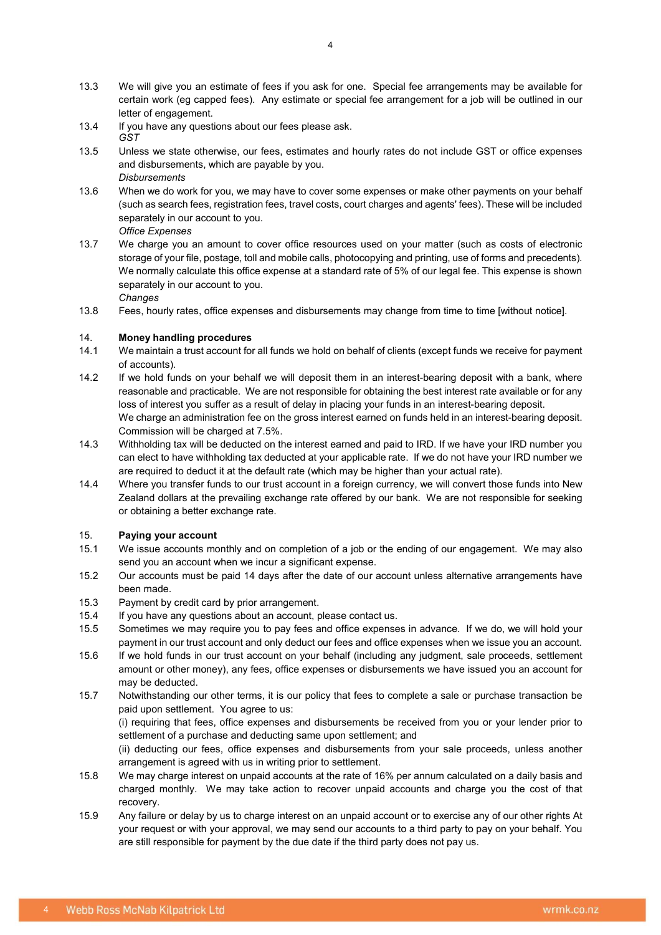- 13.3 We will give you an estimate of fees if you ask for one. Special fee arrangements may be available for certain work (eg capped fees). Any estimate or special fee arrangement for a job will be outlined in our letter of engagement.
- 13.4 If you have any questions about our fees please ask. GST
- 13.5 Unless we state otherwise, our fees, estimates and hourly rates do not include GST or office expenses and disbursements, which are payable by you. **Disbursements**
- 13.6 When we do work for you, we may have to cover some expenses or make other payments on your behalf (such as search fees, registration fees, travel costs, court charges and agents' fees). These will be included separately in our account to you.

Office Expenses

- 13.7 We charge you an amount to cover office resources used on your matter (such as costs of electronic storage of your file, postage, toll and mobile calls, photocopying and printing, use of forms and precedents). We normally calculate this office expense at a standard rate of 5% of our legal fee. This expense is shown separately in our account to you. **Changes**
- 13.8 Fees, hourly rates, office expenses and disbursements may change from time to time [without notice].

# 14. Money handling procedures

- 14.1 We maintain a trust account for all funds we hold on behalf of clients (except funds we receive for payment of accounts).
- 14.2 If we hold funds on your behalf we will deposit them in an interest-bearing deposit with a bank, where reasonable and practicable. We are not responsible for obtaining the best interest rate available or for any loss of interest you suffer as a result of delay in placing your funds in an interest-bearing deposit. We charge an administration fee on the gross interest earned on funds held in an interest-bearing deposit. Commission will be charged at 7.5%.
- 14.3 Withholding tax will be deducted on the interest earned and paid to IRD. If we have your IRD number you can elect to have withholding tax deducted at your applicable rate. If we do not have your IRD number we are required to deduct it at the default rate (which may be higher than your actual rate).
- 14.4 Where you transfer funds to our trust account in a foreign currency, we will convert those funds into New Zealand dollars at the prevailing exchange rate offered by our bank. We are not responsible for seeking or obtaining a better exchange rate.

# 15. Paying your account

- 15.1 We issue accounts monthly and on completion of a job or the ending of our engagement. We may also send you an account when we incur a significant expense.
- 15.2 Our accounts must be paid 14 days after the date of our account unless alternative arrangements have been made.
- 15.3 Payment by credit card by prior arrangement.
- 15.4 If you have any questions about an account, please contact us.
- 15.5 Sometimes we may require you to pay fees and office expenses in advance. If we do, we will hold your payment in our trust account and only deduct our fees and office expenses when we issue you an account.
- 15.6 If we hold funds in our trust account on your behalf (including any judgment, sale proceeds, settlement amount or other money), any fees, office expenses or disbursements we have issued you an account for may be deducted.
- 15.7 Notwithstanding our other terms, it is our policy that fees to complete a sale or purchase transaction be paid upon settlement. You agree to us:

(i) requiring that fees, office expenses and disbursements be received from you or your lender prior to settlement of a purchase and deducting same upon settlement; and

(ii) deducting our fees, office expenses and disbursements from your sale proceeds, unless another arrangement is agreed with us in writing prior to settlement.

- 15.8 We may charge interest on unpaid accounts at the rate of 16% per annum calculated on a daily basis and charged monthly. We may take action to recover unpaid accounts and charge you the cost of that recovery.
- 15.9 Any failure or delay by us to charge interest on an unpaid account or to exercise any of our other rights At your request or with your approval, we may send our accounts to a third party to pay on your behalf. You are still responsible for payment by the due date if the third party does not pay us.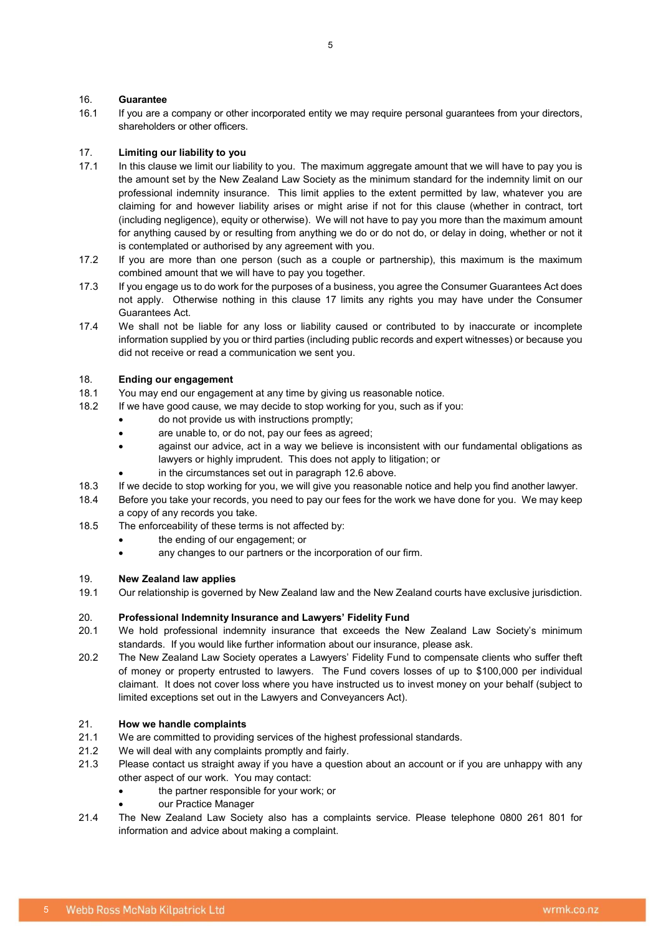# 16. Guarantee

16.1 If you are a company or other incorporated entity we may require personal guarantees from your directors, shareholders or other officers.

## 17. Limiting our liability to you

- 17.1 In this clause we limit our liability to you. The maximum aggregate amount that we will have to pay you is the amount set by the New Zealand Law Society as the minimum standard for the indemnity limit on our professional indemnity insurance. This limit applies to the extent permitted by law, whatever you are claiming for and however liability arises or might arise if not for this clause (whether in contract, tort (including negligence), equity or otherwise). We will not have to pay you more than the maximum amount for anything caused by or resulting from anything we do or do not do, or delay in doing, whether or not it is contemplated or authorised by any agreement with you.
- 17.2 If you are more than one person (such as a couple or partnership), this maximum is the maximum combined amount that we will have to pay you together.
- 17.3 If you engage us to do work for the purposes of a business, you agree the Consumer Guarantees Act does not apply. Otherwise nothing in this clause 17 limits any rights you may have under the Consumer Guarantees Act.
- 17.4 We shall not be liable for any loss or liability caused or contributed to by inaccurate or incomplete information supplied by you or third parties (including public records and expert witnesses) or because you did not receive or read a communication we sent you.

## 18. Ending our engagement

- 18.1 You may end our engagement at any time by giving us reasonable notice.
- 18.2 If we have good cause, we may decide to stop working for you, such as if you:
	- do not provide us with instructions promptly;
	- are unable to, or do not, pay our fees as agreed;
	- against our advice, act in a way we believe is inconsistent with our fundamental obligations as lawyers or highly imprudent. This does not apply to litigation; or
		- in the circumstances set out in paragraph 12.6 above.
- 18.3 If we decide to stop working for you, we will give you reasonable notice and help you find another lawyer.
- 18.4 Before you take your records, you need to pay our fees for the work we have done for you. We may keep a copy of any records you take.
- 18.5 The enforceability of these terms is not affected by:
	- the ending of our engagement; or
		- any changes to our partners or the incorporation of our firm.

## 19. New Zealand law applies

19.1 Our relationship is governed by New Zealand law and the New Zealand courts have exclusive jurisdiction.

## 20. Professional Indemnity Insurance and Lawyers' Fidelity Fund

- 20.1 We hold professional indemnity insurance that exceeds the New Zealand Law Society's minimum standards. If you would like further information about our insurance, please ask.
- 20.2 The New Zealand Law Society operates a Lawyers' Fidelity Fund to compensate clients who suffer theft of money or property entrusted to lawyers. The Fund covers losses of up to \$100,000 per individual claimant. It does not cover loss where you have instructed us to invest money on your behalf (subject to limited exceptions set out in the Lawyers and Conveyancers Act).

## 21. How we handle complaints

- 21.1 We are committed to providing services of the highest professional standards.
- 21.2 We will deal with any complaints promptly and fairly.
- 21.3 Please contact us straight away if you have a question about an account or if you are unhappy with any other aspect of our work. You may contact:
	- the partner responsible for your work; or
	- our Practice Manager
- 21.4 The New Zealand Law Society also has a complaints service. Please telephone 0800 261 801 for information and advice about making a complaint.